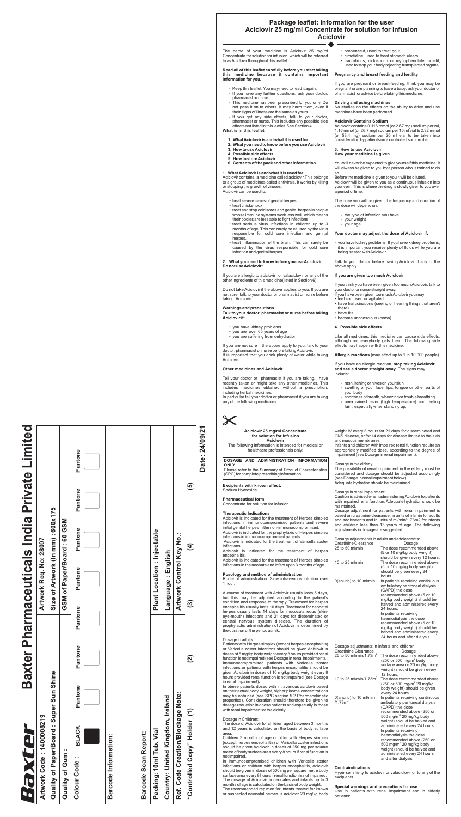# **Package leaflet: Information for the user Aciclovir 25 mg/ml Concentrate for solution for infusion Aciclovir**

If you are allergic to aciclovir or valaciclovir or any of the other ingredients of this medicine(listed in Section 6).

## **Talk to your doctor, pharmacist or nurse before taking Aciclovir if:**

Tell your doctor or pharmacist if you are taking, have recently taken or might take any other medicines. This includes medicines obtained without a prescription, including herbal medicines. Warnings and precautions<br>
Talk to your doctor, pharma<br>
Aciclovir if:<br>
• you are over 65 years<br>
• you are suffering from of<br>
If you are not sure if the abc<br>
doctor, pharmacist or nurse b<br>
It is important that you drink<br>
Aci

# **Other medicines and Aciclovir**

- treat severe cases of genital herpes
- treat chickenpox
- treat and stop cold sores and genital herpes in people whose immune systems work less well, which means their bodies are less able to fight infections.
- treat serious virus infections in children up to 3 months of age. This can rarely be caused by the virus responsible for cold sore infection and genital herpes.
- treat inflammation of the brain. This can rarely be caused by the virus responsible for cold sore infection and genital herpes.
- **1. What Aciclovir is and what it is used for**
- **2. What you need to know before you use Aciclovir**
- **3. How to use Aciclovir**
- **4. Possible side effects**
- **5. How to store Aciclovir**
- **6. Contents of the pack and other information**

#### **Do not use Aciclovir : 2. What you need to know before you use Aciclovir**

- you have kidney problems
- you are over 65 years of age
- you are suffering from dehydration

Do not take Aciclovir if the above applies to you. If you are not sure, talk to your doctor or pharmacist or nurse before taking Aciclovir .

Aciclovir contains a medicine called aciclovir,This belongs to a group of medicines called antivirals. It works by killing or stopping the growth of viruses. Aciclovir can be used to:

Aciclovir contains 0.116 mmol (or 2.67 mg) sodium per ml, 1.16 mmol (or 26.7 mg) sodium per 10 ml vial & 2.32 mmol (or 53.4 mg) sodium per 20 ml vial to be taken into consideration by patients on a controlled sodium diet. pharmacist for advice before taking this medicine.<br> **Driving and using machines**<br>
No studies on the effects on the ability to drive and use<br>
machines have been performed.<br> **Aciclovir Contains Sodium**<br>
Aciclovir contains 0.

# **What is in this leaflet**

If you are not sure if the above apply to you, talk to your doctor, pharmacist or nurse before taking Aciclovir . It is important that you drink plenty of water while taking Aciclovir .

# **1. What Aciclovir is and what it is used for**

In particular tell your doctor or pharmacist if you are taking any of the following medicines:

If you think you have been given too much Aciclovir, talk to your doctor or nurse straight away.<br>If you have been given too much Aciclovir you may:

# **Read all of this leaflet carefully before you start taking this medicine because it contains important information for you.**

- Keep this leaflet. You may need to read it again.
- If you have any further questions, ask your doctor, pharmacist or nurse.
- This medicine has been prescribed for you only. Do not pass it on to others. It may harm them, even if their signs of illness are the same as yours.
- If you get any side effects, talk to your doctor, pharmacist or nurse. This includes any possible side effects not listed in this leaflet. See Section 4.

**Your doctor may adjust the dose of Aciclovir if:**<br>- you have kidney problems. If you have kidney pro<br>it is important you receive plenty of fluids while y<br>being treated with Aciclovir.<br>Talk to your doctor before having Aci - you have kidney problems. If you have kidney problems, it is important you receive plenty of fluids while you are being treated with Aciclovir .

The name of your medicine is Aciclovir 25 mg/ml Concentrate for solution for infusion, which will be referred to as Aciclovir throughout this leaflet.

- probenecid, used to treat gout
- cimetidine, used to treat stomach ulcers
- tracrolimus, ciclosporin or mycophenolate mofetil, used to stop your body rejecting transplanted organs.

## **Driving and using machines**

No studies on the effects on the ability to drive and use machines have been performed.

## **Aciclovir Contains Sodium**

#### **3. How to use Aciclovir How your medicine is given**

If you are pregnant or breast-feeding, think you may be pregnant or are planning to have a baby, ask your doctor or

will always be given to you by a person who is trained to do so.

Before the medicine is given to you it will be diluted.

Aciclovir will be given to you as a continuous infusion into your vein. This is where the drug is slowly given to you over a period of time.

# **Pregnancy and breast feeding and fertility**

The dose you will be given, the frequency and duration of the dose will depend on:

If you have an allergic reaction, **stop taking Aciclovir and see a doctor straight away**. The signs may include:

Like all medicines, this medicine can cause side effects, although not everybody gets them. The following side effects may happen with this medicine:

- 
- feel confused or agitated
- have hallucinations (seeing or hearing things that aren't there)
- have fits
- become unconscious (coma).

# **If you are given too much Aciclovir**

- rash, itching or hives on your skin
- swelling of your face, lips, tongue or other parts of your body
- shortness of breath, wheezing or trouble breathing
- unexplained fever (high temperature) and feeling faint, especially when standing up.
- the type of infection you have
- your weight
- your age.

Talk to your doctor before having Aciclovir if any of the above apply .

#### **4. Possible side effects**

**Allergic reactions** (may affect up to 1 in 10,000 people)

Aciclovir is indicated for the treatment of Varicella zoster infections.

# **Excipients with known effect:**

# **Posology and method of administration**

#### **Therapeutic Indications**

Sodium Hydroxide

|<br>|<br>|<br>|<br>|<br>|<br>|<br>|<br>|<br>|<br><br>|

# **Pharmaceutical form**

Concentrate for solution for infusion

Aciclovir is indicated for the treatment of Herpes simplex infections in immunocompromised patients and severe initial genital herpes in the non-immunocompromised.

Aciclovir is indicated for the prophylaxis of Herpes simplex infections in immunocompromised patients.

Aciclovir is indicated for the treatment of herpes encephalitis.

Aciclovir is indicated for the treatment of Herpes simplex infections in the neonate and infant up to 3 months of age.

A course of treatment with Aciclovir usually lasts 5 days, but this may be adjusted according to the patient's condition and response to therapy. Treatment for herpes encephalitis usually lasts 10 days. Treatment for neonatal herpes usually lasts 14 days for mucocutaneous (skineye-mouth) infections and 21 days for disseminated or central nervous system disease. The duration of prophylactic administration of Aciclovir is determined by the duration of the period at risk.

Patients with Herpes simplex (except herpes encephalitis) or Varicella zoster infections should be given Aciclovir in doses of 5 mg/kg body weight every 8 hours provided renal function is not impaired (see Dosage in renal impairment). Immunocompromised patients with Varicella zoste r infections or patients with herpes encephalitis should be

given Aciclovir in doses of 10 mg/kg body weight every 8 hours provided renal function is not impaired (see Dosage in renal impairment).

In obese patients dosed with intravenous aciclovir based on their actual body weight, higher plasma concentrations may be obtained (see SPC section 5.2 Pharmacokinetic properties). Consideration should therefore be given to dosage reduction in obese patients and especially in those with renal impairment or the elderly .

Route of administration: Slow intravenous infusion over 1 hour.

#### Dosage in Children:

The dose of Aciclovir for children aged between 3 months and 12 years is calculated on the basis of body surface area.

Children 3 months of age or older with Herpes simplex (except herpes encephalitis) or Varicella zoster infections should be given Aciclovir in doses of 250 mg per square metre of body surface area every 8 hours if renal function is not impaired.

In immunocompromised children with Varicella zoster infections or children with herpes encephalitis, Aciclovir should be given in doses of 500 mg per square metre body surface area every 8 hours if renal function is not impaired.

#### Dosage in adults:

The dosage of Aciclovir in neonates and infants up to 3 months of age is calculated on the basis of body weight.

The recommended regimen for infants treated for known or suspected neonatal herpes is aciclovir 20 mg/kg body

# **Aciclovir 25 mg/ml Concentrate for solution for infusion**

#### **Aciclovir**

The following information is intended for medical or healthcare professionals only:

#### **DOSAGE AND ADMINISTRATION INFORMATION ONLY**

Please refer to the Summary of Product Characteristics (SPC) for complete prescribing information.

> Caution is advised when administering Aciclovir to patients with impaired renal function. Adequate hydration should be maintained.

# **Contraindications**

Dosage adjustment for patients with renal impairment is based on creatinine clearance, in units of ml/min for adults and adolescents and in units of ml/min/1.73m2 for infants and children less than 13 years of age. The following adjustments in dosage are suggested:

| <b>Creatinine Clearance</b>                   | Dosage                                                                                                                                                                                                                                                                                                                                                                                                                                 |
|-----------------------------------------------|----------------------------------------------------------------------------------------------------------------------------------------------------------------------------------------------------------------------------------------------------------------------------------------------------------------------------------------------------------------------------------------------------------------------------------------|
| 25 to 50 ml/min/1.73m <sup>2</sup>            | The dose recommended above<br>(250 or 500 mg/m <sup>2</sup> body<br>surface area or 20 mg/kg body<br>weight) should be given every                                                                                                                                                                                                                                                                                                     |
|                                               | 12 hours.                                                                                                                                                                                                                                                                                                                                                                                                                              |
| 10 to 25 ml/min/1.73m <sup>2</sup>            | The dose recommended above<br>(250 or 500 mg/m <sup>2</sup> 20 mg/kg)<br>body weight) should be given<br>every 24 hours.                                                                                                                                                                                                                                                                                                               |
| 0(anuric) to 10 ml/min<br>/1.73m <sup>2</sup> | In patients receiving continuous<br>ambulatory peritoneal dialysis<br>(CAPD) the dose<br>recommended above (250 or<br>500 mg/m <sup>2</sup> 20 mg/kg body<br>weight) should be halved and<br>administered every 24 hours.<br>In patients receiving<br>haemodialysis the dose<br>recommended above (250 or<br>500 mg/m <sup>2</sup> 20 mg/kg body<br>weight) should be halved and<br>administered every 24 hours<br>and after dialysis. |

| Creatinine Clearance                                                       | Dosage                                                                                                                                                                                                                                                                                                                                                                              |
|----------------------------------------------------------------------------|-------------------------------------------------------------------------------------------------------------------------------------------------------------------------------------------------------------------------------------------------------------------------------------------------------------------------------------------------------------------------------------|
| $25$ to $50$ ml/min                                                        | The dose recommended above<br>(5 or 10 mg/kg body weight)                                                                                                                                                                                                                                                                                                                           |
| 10 to $25$ ml/min                                                          | should be given every 12 hours.<br>The dose recommended above<br>(5 or 10 mg/kg body weight)<br>should be given every 24<br>hours.                                                                                                                                                                                                                                                  |
| 0(anuric) to 10 ml/min                                                     | In patients receiving continuous<br>ambulatory peritoneal dialysis<br>(CAPD) the dose<br>recommended above (5 or 10<br>mg/kg body weight) should be<br>halved and administered every<br>24 hours.<br>In patients receiving<br>haemodialysis the dose<br>recommended above (5 or 10<br>mg/kg body weight) should be<br>halved and administered every<br>24 hours and after dialysis. |
| Dosage adjustments in infants and children:<br><b>Creatinine Clearance</b> | Dosage                                                                                                                                                                                                                                                                                                                                                                              |
| 25 to 50 ml/min/1.73m <sup>2</sup>                                         | The dose recommended above<br>(250 or 500 mg/m <sup>2</sup> body<br>surface area or 20 mg/kg body<br>weight) should be given every<br>12 hours.                                                                                                                                                                                                                                     |
| 10 to 25 ml/min/1.73m <sup>2</sup>                                         | The dose recommended above<br>(250 or 500 mg/m <sup>2</sup> 20 mg/kg<br>body weight) should be given<br>every 24 hours.                                                                                                                                                                                                                                                             |
| 0(anuric) to 10 ml/min<br>/1.73m <sup>2</sup>                              | In patients receiving continuous<br>ambulatory peritoneal dialysis                                                                                                                                                                                                                                                                                                                  |

Hypersensitivity to aciclovir or valaciclovir or to any of the excipients.

Use in patients with renal impairment and in elderly patients:

#### **Special warnings and precautions for use**

Dosage in renal impairment:

Dosage adjustments in adults and adolescents:

weight IV every 8 hours for 21 days for disseminated and CNS disease, or for 14 days for disease limited to the skin and mucous membranes.

Infants and children with impaired renal function require an appropriately modified dose, according to the degree of impairment (see Dosage in renal impairment).

### Dosage in the elderly:

Adequate hydration should be maintained. The possibility of renal impairment in the elderly must be considered and dosage should be adjusted accordingly (see Dosage in renal impairment below).